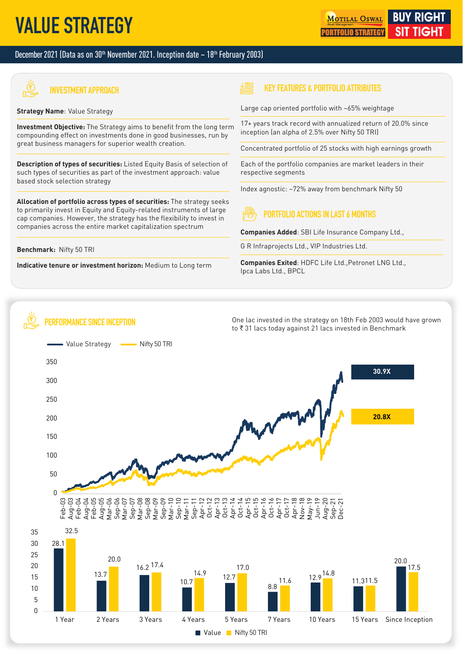# **VALUE STRATEGY**

### December 2021 (Data as on  $30<sup>th</sup>$  November 2021. Inception date  $-18<sup>th</sup>$  February 2003)



**INVESTMENT APPROACH**

### **Strategy Name**: Value Strategy

**Investment Objective:** The Strategy aims to benefit from the long term compounding effect on investments done in good businesses, run by great business managers for superior wealth creation.

**Description of types of securities:** Listed Equity Basis of selection of such types of securities as part of the investment approach: value based stock selection strategy

**Allocation of portfolio across types of securities:** The strategy seeks to primarily invest in Equity and Equity-related instruments of large cap companies. However, the strategy has the flexibility to invest in companies across the entire market capitalization spectrum

### **Benchmark:** Nifty 50 TRI

**Indicative tenure or investment horizon:** Medium to Long term

### **KEY FEATURES & PORTFOLIO ATTRIBUTES**

Large cap oriented portfolio with ~65% weightage

17+ years track record with annualized return of 20.0% since inception (an alpha of 2.5% over Nifty 50 TRI)

Concentrated portfolio of 25 stocks with high earnings growth

Each of the portfolio companies are market leaders in their respective segments

Index agnostic: ~72% away from benchmark Nifty 50

# **PORTFOLIO ACTIONS IN LAST 6 MONTHS**

**Companies Added**: SBI Life Insurance Company Ltd.,

G R Infraprojects Ltd., VIP Industries Ltd.

**Companies Exited: HDFC Life Ltd., Petronet LNG Ltd.,** Ipca Labs Ltd., BPCL

#### "Ë **PERFORMANCE SINCE INCEPTION**

One lac invested in the strategy on 18th Feb 2003 would have grown to ₹31 lacs today against 21 lacs invested in Benchmark

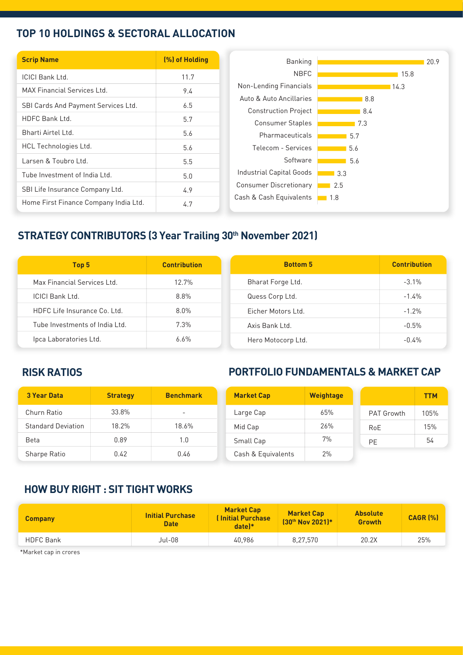### **TOP 10 HOLDINGS & SECTORAL ALLOCATION**

| <b>Scrip Name</b>                     | (%) of Holding | Banking                                                |
|---------------------------------------|----------------|--------------------------------------------------------|
| <b>ICICI Bank Ltd.</b>                | 11.7           | <b>NBFC</b>                                            |
| <b>MAX Financial Services Ltd.</b>    | 9.4            | Non-Lending Financials                                 |
| SBI Cards And Payment Services Ltd.   | 6.5            | Auto & Auto Ancillaries                                |
| <b>HDFC Bank Ltd.</b>                 | 5.7            | <b>Construction Project</b><br><b>Consumer Staples</b> |
| Bharti Airtel Ltd.                    | 5.6            | Pharmaceuticals                                        |
| HCL Technologies Ltd.                 | 5.6            | Telecom - Services                                     |
| Larsen & Toubro Ltd.                  | 5.5            | Software                                               |
| Tube Investment of India Ltd.         | 5.0            | Industrial Capital Goods                               |
| SBI Life Insurance Company Ltd.       | 4.9            | <b>Consumer Discretionary</b>                          |
| Home First Finance Company India Ltd. | 4.7            | Cash & Cash Equivalents                                |

# **STRATEGY CONTRIBUTORS (3 Year Trailing 30th November 2021)**

| Top 5                          | <b>Contribution</b> | <b>Bottom 5</b>    | <b>Contribution</b> |
|--------------------------------|---------------------|--------------------|---------------------|
| Max Financial Services Ltd.    | 12.7%               | Bharat Forge Ltd.  | $-3.1\%$            |
| <b>ICICI Bank Ltd.</b>         | 8.8%                | Quess Corp Ltd.    | $-1.4%$             |
| HDFC Life Insurance Co. Ltd.   | 8.0%                | Eicher Motors Ltd. | $-1.2%$             |
| Tube Investments of India Ltd. | 7.3%                | Axis Bank Ltd.     | $-0.5%$             |
| Ipca Laboratories Ltd.         | 6.6%                | Hero Motocorp Ltd. | $-0.4%$             |

## **RISK RATIOS**

# **PORTFOLIO FUNDAMENTALS & MARKET CAP**

| <b>3 Year Data</b>        | <b>Strategy</b> | <b>Benchmark</b>         | <b>Market Cap</b>  | <b>Weightage</b> |                   | <b>TTM</b> |
|---------------------------|-----------------|--------------------------|--------------------|------------------|-------------------|------------|
| Churn Ratio               | 33.8%           | $\overline{\phantom{a}}$ | Large Cap          | 65%              | <b>PAT Growth</b> | 105%       |
| <b>Standard Deviation</b> | 18.2%           | 18.6%                    | Mid Cap            | 26%              | RoE               | 15%        |
| Beta                      | 0.89            | 1.0                      | Small Cap          | 7%               | PE                | 54         |
| Sharpe Ratio              | 0.42            | 0.46                     | Cash & Equivalents | 2%               |                   |            |

### **HOW BUY RIGHT : SIT TIGHT WORKS**

| <b>Company</b>   | <b>Initial Purchase</b><br><b>Date</b> | <b>Market Cap</b><br><b>Initial Purchase</b><br>$date$ <sup>*</sup> | <b>Market Cap</b><br>130th Nov 2021)* | <b>Absolute</b><br><b>Growth</b> | <b>CAGR [%]</b> |
|------------------|----------------------------------------|---------------------------------------------------------------------|---------------------------------------|----------------------------------|-----------------|
| <b>HDFC Bank</b> | Jul-08                                 | 40.986                                                              | 8,27,570                              | 20.2X                            | 25%             |
| $*Mod.$          |                                        |                                                                     |                                       |                                  |                 |

\*Market cap in crores